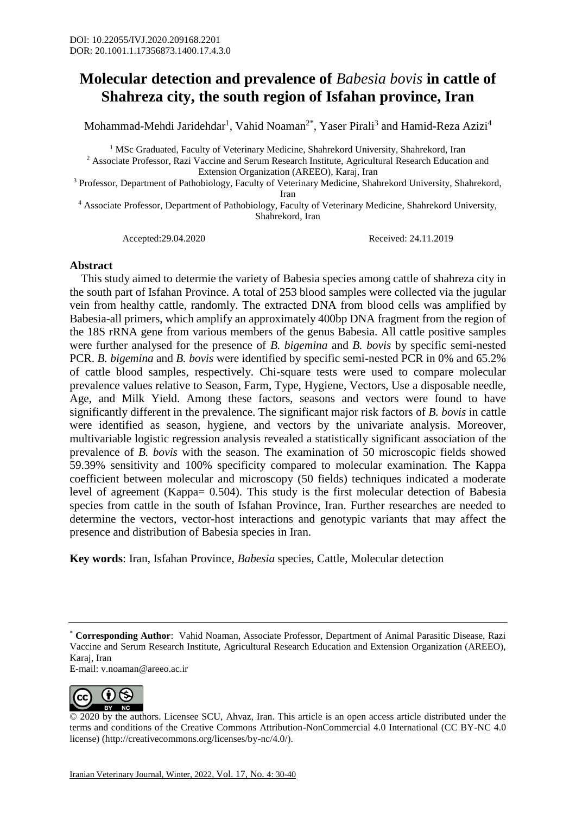## **Molecular detection and prevalence of** *Babesia bovis* **in cattle of Shahreza city, the south region of Isfahan province, Iran**

Mohammad-Mehdi Jaridehdar<sup>1</sup>, Vahid Noaman<sup>2\*</sup>, Yaser Pirali<sup>3</sup> and Hamid-Reza Azizi<sup>4</sup>

<sup>1</sup> MSc Graduated, Faculty of Veterinary Medicine, Shahrekord University, Shahrekord, Iran

<sup>2</sup> Associate Professor, Razi Vaccine and Serum Research Institute, Agricultural Research Education and Extension Organization (AREEO), Karaj, Iran

<sup>3</sup> Professor, Department of Pathobiology, Faculty of Veterinary Medicine, Shahrekord University, Shahrekord,

Iran

<sup>4</sup> Associate Professor, Department of Pathobiology, Faculty of Veterinary Medicine, Shahrekord University, Shahrekord, Iran

Accepted:29.04.2020 Received: 24.11.2019

## **Abstract**

 This study aimed to determie the variety of Babesia species among cattle of shahreza city in the south part of Isfahan Province. A total of 253 blood samples were collected via the jugular vein from healthy cattle, randomly. The extracted DNA from blood cells was amplified by Babesia-all primers, which amplify an approximately 400bp DNA fragment from the region of the 18S rRNA gene from various members of the genus Babesia. All cattle positive samples were further analysed for the presence of *B. bigemina* and *B. bovis* by specific semi-nested PCR. *B. bigemina* and *B. bovis* were identified by specific semi-nested PCR in 0% and 65.2% of cattle blood samples, respectively. Chi-square tests were used to compare molecular prevalence values relative to Season, Farm, Type, Hygiene, Vectors, Use a disposable needle, Age, and Milk Yield. Among these factors, seasons and vectors were found to have significantly different in the prevalence. The significant major risk factors of *B. bovis* in cattle were identified as season, hygiene, and vectors by the univariate analysis. Moreover, multivariable logistic regression analysis revealed a statistically significant association of the prevalence of *B. bovis* with the season. The examination of 50 microscopic fields showed 59.39% sensitivity and 100% specificity compared to molecular examination. The Kappa coefficient between molecular and microscopy (50 fields) techniques indicated a moderate level of agreement (Kappa= 0.504). This study is the first molecular detection of Babesia species from cattle in the south of Isfahan Province, Iran. Further researches are needed to determine the vectors, vector-host interactions and genotypic variants that may affect the presence and distribution of Babesia species in Iran.

**Key words**: Iran, Isfahan Province, *Babesia* species, Cattle, Molecular detection

E-mail: [v.noaman@areeo.ac.ir](mailto:v.noaman@areeo.ac.ir)



<sup>© 2020</sup> by the authors. Licensee SCU, Ahvaz, Iran. This article is an open access article distributed under the terms and conditions of the Creative Commons Attribution-NonCommercial 4.0 International (CC BY-NC 4.0 license) (http://creativecommons.org/licenses/by-nc/4.0/).

<sup>\*</sup> **Corresponding Author**: Vahid Noaman, Associate Professor, Department of Animal Parasitic Disease, Razi Vaccine and Serum Research Institute, Agricultural Research Education and Extension Organization (AREEO), Karaj, Iran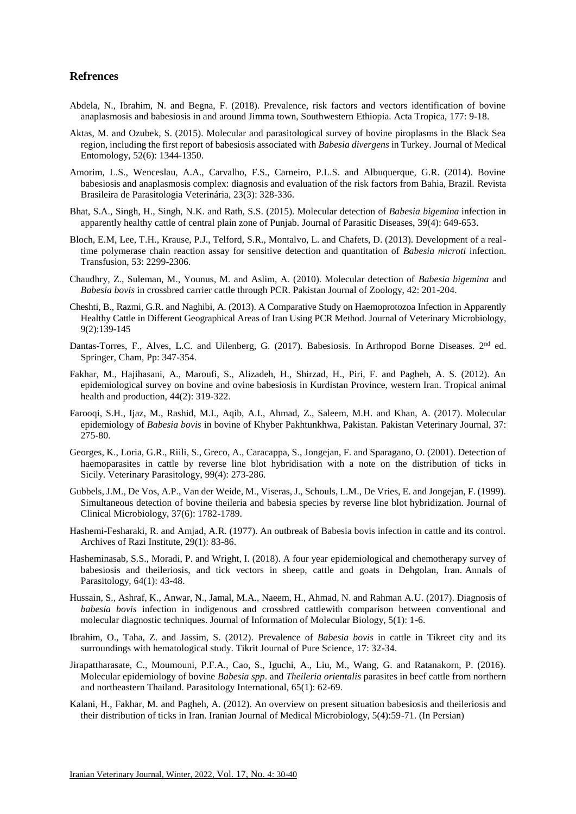## **Refrences**

- Abdela, N., Ibrahim, N. and Begna, F. (2018). Prevalence, risk factors and vectors identification of bovine anaplasmosis and babesiosis in and around Jimma town, Southwestern Ethiopia. Acta Tropica, 177: 9-18.
- Aktas, M. and Ozubek, S. (2015). Molecular and parasitological survey of bovine piroplasms in the Black Sea region, including the first report of babesiosis associated with *Babesia divergens* in Turkey. Journal of Medical Entomology, 52(6): 1344-1350.
- Amorim, L.S., Wenceslau, A.A., Carvalho, F.S., Carneiro, P.L.S. and Albuquerque, G.R. (2014). Bovine babesiosis and anaplasmosis complex: diagnosis and evaluation of the risk factors from Bahia, Brazil. Revista Brasileira de Parasitologia Veterinária, 23(3): 328-336.
- Bhat, S.A., Singh, H., Singh, N.K. and Rath, S.S. (2015). Molecular detection of *Babesia bigemina* infection in apparently healthy cattle of central plain zone of Punjab. Journal of Parasitic Diseases, 39(4): 649-653.
- Bloch, E.M, Lee, T.H., Krause, P.J., Telford, S.R., Montalvo, L. and Chafets, D. (2013). Development of a realtime polymerase chain reaction assay for sensitive detection and quantitation of *Babesia microti* infection. Transfusion, 53: 2299-2306.
- Chaudhry, Z., Suleman, M., Younus, M. and Aslim, A. (2010). Molecular detection of *Babesia bigemina* and *Babesia bovis* in crossbred carrier cattle through PCR. Pakistan Journal of Zoology, 42: 201-204.
- Cheshti, B., Razmi, G.R. and Naghibi, A. (2013). A Comparative Study on Haemoprotozoa Infection in Apparently Healthy Cattle in Different Geographical Areas of Iran Using PCR Method. Journal of Veterinary Microbiology, 9(2):139-145
- Dantas-Torres, F., Alves, L.C. and Uilenberg, G. (2017). Babesiosis. In Arthropod Borne Diseases. 2<sup>nd</sup> ed. Springer, Cham, Pp: 347-354.
- Fakhar, M., Hajihasani, A., Maroufi, S., Alizadeh, H., Shirzad, H., Piri, F. and Pagheh, A. S. (2012). An epidemiological survey on bovine and ovine babesiosis in Kurdistan Province, western Iran. Tropical animal health and production, 44(2): 319-322.
- Farooqi, S.H., Ijaz, M., Rashid, M.I., Aqib, A.I., Ahmad, Z., Saleem, M.H. and Khan, A. (2017). Molecular epidemiology of *Babesia bovis* in bovine of Khyber Pakhtunkhwa, Pakistan. Pakistan Veterinary Journal, 37: 275-80.
- Georges, K., Loria, G.R., Riili, S., Greco, A., Caracappa, S., Jongejan, F. and Sparagano, O. (2001). Detection of haemoparasites in cattle by reverse line blot hybridisation with a note on the distribution of ticks in Sicily. Veterinary Parasitology, 99(4): 273-286.
- Gubbels, J.M., De Vos, A.P., Van der Weide, M., Viseras, J., Schouls, L.M., De Vries, E. and Jongejan, F. (1999). Simultaneous detection of bovine theileria and babesia species by reverse line blot hybridization. Journal of Clinical Microbiology, 37(6): 1782-1789.
- Hashemi-Fesharaki, R. and Amjad, A.R. (1977). An outbreak of Babesia bovis infection in cattle and its control. Archives of Razi Institute, 29(1): 83-86.
- Hasheminasab, S.S., Moradi, P. and Wright, I. (2018). A four year epidemiological and chemotherapy survey of babesiosis and theileriosis, and tick vectors in sheep, cattle and goats in Dehgolan, Iran. Annals of Parasitology, 64(1): 43-48.
- Hussain, S., Ashraf, K., Anwar, N., Jamal, M.A., Naeem, H., Ahmad, N. and Rahman A.U. (2017). Diagnosis of *babesia bovis* infection in indigenous and crossbred cattlewith comparison between conventional and molecular diagnostic techniques. Journal of Information of Molecular Biology, 5(1): 1-6.
- Ibrahim, O., Taha, Z. and Jassim, S. (2012). Prevalence of *Babesia bovis* in cattle in Tikreet city and its surroundings with hematological study. Tikrit Journal of Pure Science, 17: 32-34.
- Jirapattharasate, C., Moumouni, P.F.A., Cao, S., Iguchi, A., Liu, M., Wang, G. and Ratanakorn, P. (2016). Molecular epidemiology of bovine *Babesia spp*. and *Theileria orientalis* parasites in beef cattle from northern and northeastern Thailand. Parasitology International, 65(1): 62-69.
- Kalani, H., Fakhar, M. and Pagheh, A. (2012). An overview on present situation babesiosis and theileriosis and their distribution of ticks in Iran. Iranian Journal of Medical Microbiology, 5(4):59-71. (In Persian)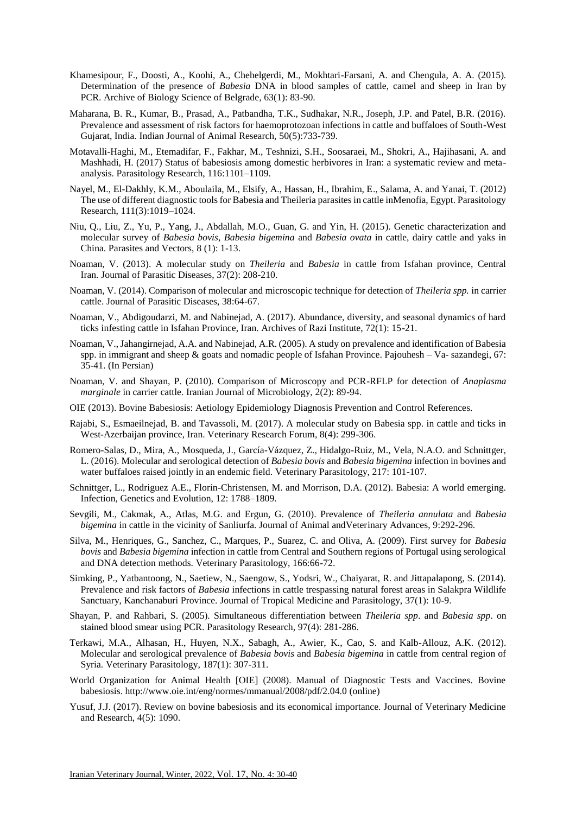- Khamesipour, F., Doosti, A., Koohi, A., Chehelgerdi, M., Mokhtari-Farsani, A. and Chengula, A. A. (2015). Determination of the presence of *Babesia* DNA in blood samples of cattle, camel and sheep in Iran by PCR. Archive of Biology Science of Belgrade, 63(1): 83-90.
- Maharana, B. R., Kumar, B., Prasad, A., Patbandha, T.K., Sudhakar, N.R., Joseph, J.P. and Patel, B.R. (2016). Prevalence and assessment of risk factors for haemoprotozoan infections in cattle and buffaloes of South-West Gujarat, India. Indian Journal of Animal Research, 50(5):733-739.
- Motavalli-Haghi, M., Etemadifar, F., Fakhar, M., Teshnizi, S.H., Soosaraei, M., Shokri, A., Hajihasani, A. and Mashhadi, H. (2017) Status of babesiosis among domestic herbivores in Iran: a systematic review and metaanalysis. Parasitology Research, 116:1101–1109.
- Nayel, M., El-Dakhly, K.M., Aboulaila, M., Elsify, A., Hassan, H., Ibrahim, E., Salama, A. and Yanai, T. (2012) The use of different diagnostic tools for Babesia and Theileria parasites in cattle inMenofia, Egypt. Parasitology Research, 111(3):1019–1024.
- Niu, Q., Liu, Z., Yu, P., Yang, J., Abdallah, M.O., Guan, G. and Yin, H. (2015). Genetic characterization and molecular survey of *Babesia bovis*, *Babesia bigemina* and *Babesia ovata* in cattle, dairy cattle and yaks in China. Parasites and Vectors, 8 (1): 1-13.
- Noaman, V. (2013). A molecular study on *Theileria* and *Babesia* in cattle from Isfahan province, Central Iran. Journal of Parasitic Diseases, 37(2): 208-210.
- Noaman, V. (2014). Comparison of molecular and microscopic technique for detection of *Theileria spp.* in carrier cattle. Journal of Parasitic Diseases, 38:64-67.
- Noaman, V., Abdigoudarzi, M. and Nabinejad, A. (2017). Abundance, diversity, and seasonal dynamics of hard ticks infesting cattle in Isfahan Province, Iran. Archives of Razi Institute, 72(1): 15-21.
- Noaman, V., Jahangirnejad, A.A. and Nabinejad, A.R. (2005). A study on prevalence and identification of Babesia spp. in immigrant and sheep  $\&$  goats and nomadic people of Isfahan Province. Pajouhesh – Va- sazandegi, 67: 35-41. (In Persian)
- Noaman, V. and Shayan, P. (2010). Comparison of Microscopy and PCR-RFLP for detection of *Anaplasma marginale* in carrier cattle. Iranian Journal of Microbiology, 2(2): 89-94.
- OIE (2013). Bovine Babesiosis: Aetiology Epidemiology Diagnosis Prevention and Control References.
- Rajabi, S., Esmaeilnejad, B. and Tavassoli, M. (2017). A molecular study on Babesia spp. in cattle and ticks in West-Azerbaijan province, Iran. Veterinary Research Forum, 8(4): 299-306.
- Romero-Salas, D., Mira, A., Mosqueda, J., García-Vázquez, Z., Hidalgo-Ruiz, M., Vela, N.A.O. and Schnittger, L. (2016). Molecular and serological detection of *Babesia bovis* and *Babesia bigemina* infection in bovines and water buffaloes raised jointly in an endemic field. Veterinary Parasitology, 217: 101-107.
- Schnittger, L., Rodriguez A.E., Florin-Christensen, M. and Morrison, D.A. (2012). Babesia: A world emerging. Infection, Genetics and Evolution, 12: 1788–1809.
- Sevgili, M., Cakmak, A., Atlas, M.G. and Ergun, G. (2010). Prevalence of *Theileria annulata* and *Babesia bigemina* in cattle in the vicinity of Sanliurfa. Journal of Animal andVeterinary Advances, 9:292-296.
- Silva, M., Henriques, G., Sanchez, C., Marques, P., Suarez, C. and Oliva, A. (2009). First survey for *Babesia bovis* and *Babesia bigemina* infection in cattle from Central and Southern regions of Portugal using serological and DNA detection methods. Veterinary Parasitology, 166:66-72.
- Simking, P., Yatbantoong, N., Saetiew, N., Saengow, S., Yodsri, W., Chaiyarat, R. and Jittapalapong, S. (2014). Prevalence and risk factors of *Babesia* infections in cattle trespassing natural forest areas in Salakpra Wildlife Sanctuary, Kanchanaburi Province. Journal of Tropical Medicine and Parasitology, 37(1): 10-9.
- Shayan, P. and Rahbari, S. (2005). Simultaneous differentiation between *Theileria spp*. and *Babesia spp*. on stained blood smear using PCR. Parasitology Research, 97(4): 281-286.
- Terkawi, M.A., Alhasan, H., Huyen, N.X., Sabagh, A., Awier, K., Cao, S. and Kalb-Allouz, A.K. (2012). Molecular and serological prevalence of *Babesia bovis* and *Babesia bigemina* in cattle from central region of Syria. Veterinary Parasitology, 187(1): 307-311.
- World Organization for Animal Health [OIE] (2008). Manual of Diagnostic Tests and Vaccines. Bovine babesiosis. http://www.oie.int/eng/normes/mmanual/2008/pdf/2.04.0 (online)
- Yusuf, J.J. (2017). Review on bovine babesiosis and its economical importance. Journal of Veterinary Medicine and Research, 4(5): 1090.